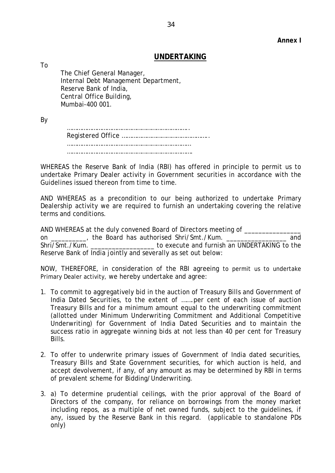## **Annex I**

## **UNDERTAKING**

The Chief General Manager, Internal Debt Management Department, Reserve Bank of India, Central Office Building, Mumbai-400 001.

By

To

 ……………………………………………………………….. Registered Office …………………………………………….. ………………………………………………………………… ………………………………………………………………….

WHEREAS the Reserve Bank of India (RBI) has offered in principle to permit us to undertake Primary Dealer activity in Government securities in accordance with the Guidelines issued thereon from time to time.

AND WHEREAS as a precondition to our being authorized to undertake Primary Dealership activity we are required to furnish an undertaking covering the relative terms and conditions.

AND WHEREAS at the duly convened Board of Directors meeting of \_\_\_\_\_\_\_\_\_\_\_ on \_\_\_\_\_\_\_\_\_\_, the Board has authorised Shri/Smt./Kum. \_\_\_\_\_\_\_\_\_\_\_\_\_\_\_\_\_ and Shri/Smt./Kum. **Execute and furnish an UNDERTAKING to the** Reserve Bank of India jointly and severally as set out below:

NOW, THEREFORE, in consideration of the RBI agreeing to permit us to undertake Primary Dealer activity, we hereby undertake and agree:

- 1. To commit to aggregatively bid in the auction of Treasury Bills and Government of India Dated Securities, to the extent of …….per cent of each issue of auction Treasury Bills and for a minimum amount equal to the underwriting commitment (allotted under Minimum Underwriting Commitment and Additional Competitive Underwriting) for Government of India Dated Securities and to maintain the success ratio in aggregate winning bids at not less than 40 per cent for Treasury Bills.
- 2. To offer to underwrite primary issues of Government of India dated securities, Treasury Bills and State Government securities, for which auction is held, and accept devolvement, if any, of any amount as may be determined by RBI in terms of prevalent scheme for Bidding/Underwriting.
- 3. a) To determine prudential ceilings, with the prior approval of the Board of Directors of the company, for reliance on borrowings from the money market including repos, as a multiple of net owned funds, subject to the guidelines, if any, issued by the Reserve Bank in this regard. (applicable to standalone PDs only)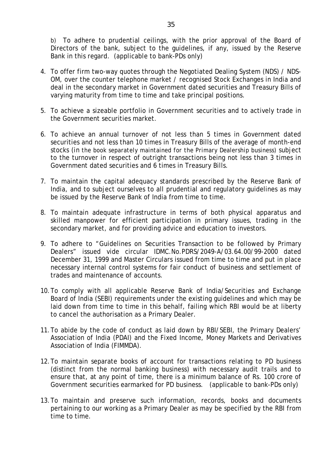b) To adhere to prudential ceilings, with the prior approval of the Board of Directors of the bank, subject to the guidelines, if any, issued by the Reserve Bank in this regard. (applicable to bank-PDs only)

- 4. To offer firm two-way quotes through the Negotiated Dealing System (NDS) / NDS-OM, over the counter telephone market / recognised Stock Exchanges in India and deal in the secondary market in Government dated securities and Treasury Bills of varying maturity from time to time and take principal positions.
- 5. To achieve a sizeable portfolio in Government securities and to actively trade in the Government securities market.
- 6. To achieve an annual turnover of not less than 5 times in Government dated securities and not less than 10 times in Treasury Bills of the average of month-end stocks (*in the book separately maintained for the Primary Dealership business)* subject to the turnover in respect of outright transactions being not less than 3 times in Government dated securities and 6 times in Treasury Bills.
- 7. To maintain the capital adequacy standards prescribed by the Reserve Bank of India, and to subject ourselves to all prudential and regulatory guidelines as may be issued by the Reserve Bank of India from time to time.
- 8. To maintain adequate infrastructure in terms of both physical apparatus and skilled manpower for efficient participation in primary issues, trading in the secondary market, and for providing advice and education to investors.
- 9. To adhere to "Guidelines on Securities Transaction to be followed by Primary Dealers" issued vide circular IDMC.No.PDRS/2049-A/03.64.00/99-2000 dated December 31, 1999 and Master Circulars issued from time to time and put in place necessary internal control systems for fair conduct of business and settlement of trades and maintenance of accounts.
- 10.To comply with all applicable Reserve Bank of India/Securities and Exchange Board of India (SEBI) requirements under the existing guidelines and which may be laid down from time to time in this behalf, failing which RBI would be at liberty to cancel the authorisation as a Primary Dealer.
- 11.To abide by the code of conduct as laid down by RBI/SEBI, the Primary Dealers' Association of India (PDAI) and the Fixed Income, Money Markets and Derivatives Association of India (FIMMDA).
- 12.To maintain separate books of account for transactions relating to PD business (distinct from the normal banking business) with necessary audit trails and to ensure that, at any point of time, there is a minimum balance of Rs. 100 crore of Government securities earmarked for PD business. (applicable to bank-PDs only)
- 13.To maintain and preserve such information, records, books and documents pertaining to our working as a Primary Dealer as may be specified by the RBI from time to time.